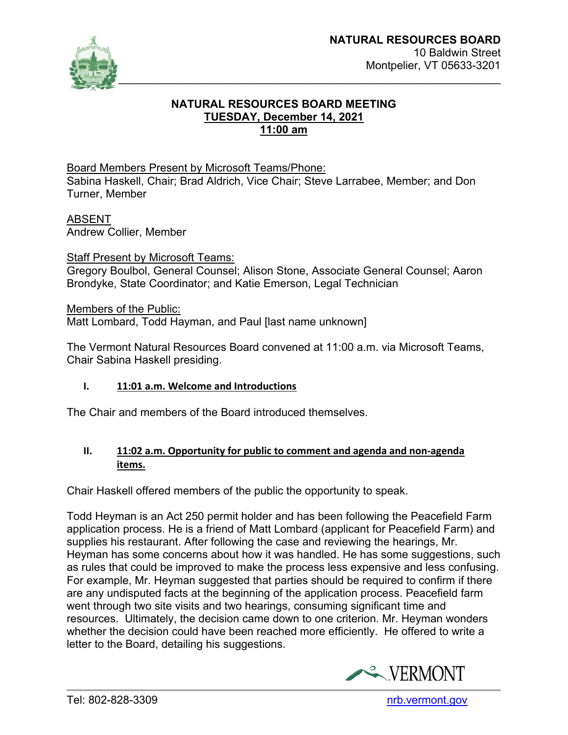

# **NATURAL RESOURCES BOARD MEETING TUESDAY, December 14, 2021 11:00 am**

Board Members Present by Microsoft Teams/Phone: Sabina Haskell, Chair; Brad Aldrich, Vice Chair; Steve Larrabee, Member; and Don Turner, Member

ABSENT Andrew Collier, Member

Staff Present by Microsoft Teams:

Gregory Boulbol, General Counsel; Alison Stone, Associate General Counsel; Aaron Brondyke, State Coordinator; and Katie Emerson, Legal Technician

Members of the Public:

Matt Lombard, Todd Hayman, and Paul [last name unknown]

The Vermont Natural Resources Board convened at 11:00 a.m. via Microsoft Teams, Chair Sabina Haskell presiding.

## **I. 11:01 a.m. Welcome and Introductions**

The Chair and members of the Board introduced themselves.

## **II. 11:02 a.m. Opportunity for public to comment and agenda and non-agenda items.**

Chair Haskell offered members of the public the opportunity to speak.

Todd Heyman is an Act 250 permit holder and has been following the Peacefield Farm application process. He is a friend of Matt Lombard (applicant for Peacefield Farm) and supplies his restaurant. After following the case and reviewing the hearings, Mr. Heyman has some concerns about how it was handled. He has some suggestions, such as rules that could be improved to make the process less expensive and less confusing. For example, Mr. Heyman suggested that parties should be required to confirm if there are any undisputed facts at the beginning of the application process. Peacefield farm went through two site visits and two hearings, consuming significant time and resources. Ultimately, the decision came down to one criterion. Mr. Heyman wonders whether the decision could have been reached more efficiently. He offered to write a letter to the Board, detailing his suggestions.